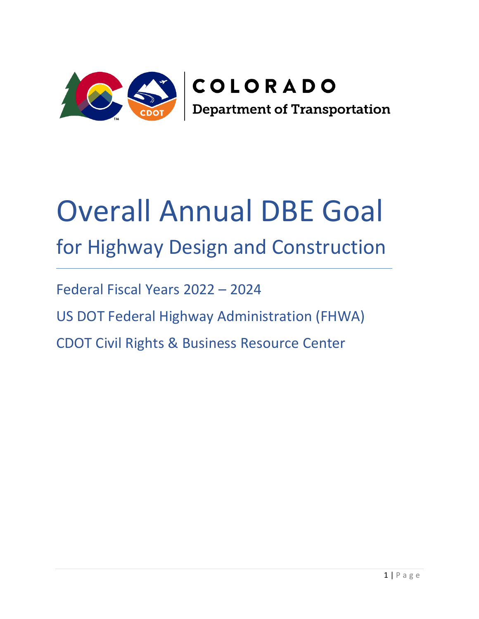

# Overall Annual DBE Goal for Highway Design and Construction

Federal Fiscal Years 2022 – 2024

US DOT Federal Highway Administration (FHWA)

CDOT Civil Rights & Business Resource Center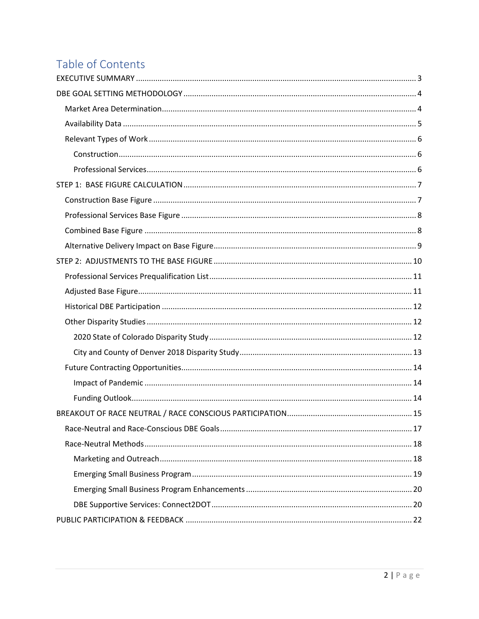# Table of Contents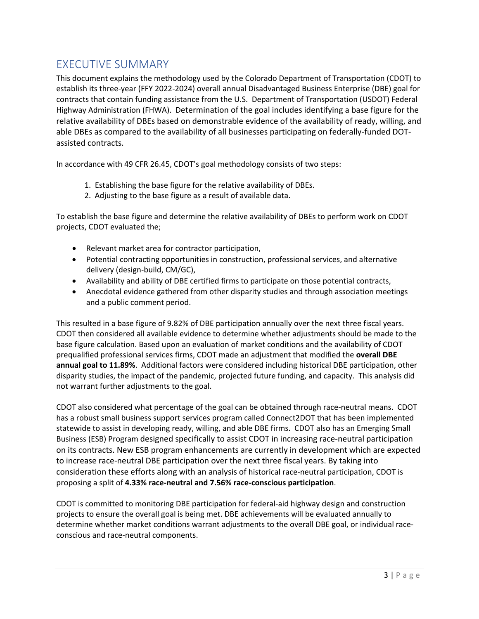# <span id="page-2-0"></span>EXECUTIVE SUMMARY

This document explains the methodology used by the Colorado Department of Transportation (CDOT) to establish its three-year (FFY 2022-2024) overall annual Disadvantaged Business Enterprise (DBE) goal for contracts that contain funding assistance from the U.S. Department of Transportation (USDOT) Federal Highway Administration (FHWA). Determination of the goal includes identifying a base figure for the relative availability of DBEs based on demonstrable evidence of the availability of ready, willing, and able DBEs as compared to the availability of all businesses participating on federally-funded DOTassisted contracts.

In accordance with 49 CFR 26.45, CDOT's goal methodology consists of two steps:

- 1. Establishing the base figure for the relative availability of DBEs.
- 2. Adjusting to the base figure as a result of available data.

To establish the base figure and determine the relative availability of DBEs to perform work on CDOT projects, CDOT evaluated the;

- Relevant market area for contractor participation,
- Potential contracting opportunities in construction, professional services, and alternative delivery (design-build, CM/GC),
- Availability and ability of DBE certified firms to participate on those potential contracts,
- Anecdotal evidence gathered from other disparity studies and through association meetings and a public comment period.

This resulted in a base figure of 9.82% of DBE participation annually over the next three fiscal years. CDOT then considered all available evidence to determine whether adjustments should be made to the base figure calculation. Based upon an evaluation of market conditions and the availability of CDOT prequalified professional services firms, CDOT made an adjustment that modified the **overall DBE annual goal to 11.89%**. Additional factors were considered including historical DBE participation, other disparity studies, the impact of the pandemic, projected future funding, and capacity. This analysis did not warrant further adjustments to the goal.

CDOT also considered what percentage of the goal can be obtained through race-neutral means. CDOT has a robust small business support services program called Connect2DOT that has been implemented statewide to assist in developing ready, willing, and able DBE firms. CDOT also has an Emerging Small Business (ESB) Program designed specifically to assist CDOT in increasing race-neutral participation on its contracts. New ESB program enhancements are currently in development which are expected to increase race-neutral DBE participation over the next three fiscal years. By taking into consideration these efforts along with an analysis of historical race-neutral participation, CDOT is proposing a split of **4.33% race-neutral and 7.56% race-conscious participation**.

CDOT is committed to monitoring DBE participation for federal-aid highway design and construction projects to ensure the overall goal is being met. DBE achievements will be evaluated annually to determine whether market conditions warrant adjustments to the overall DBE goal, or individual raceconscious and race-neutral components.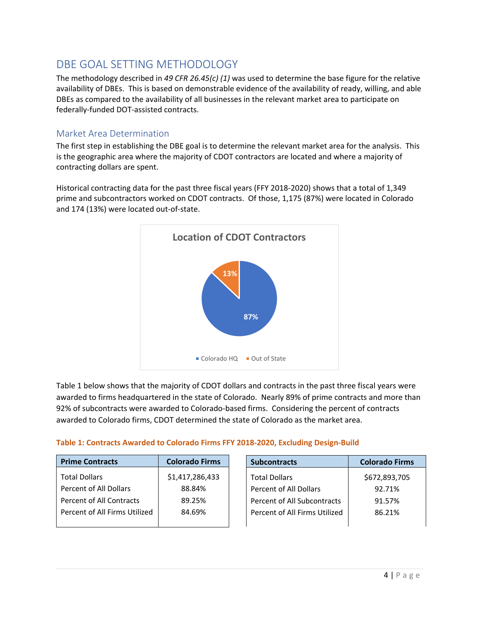# <span id="page-3-0"></span>DBE GOAL SETTING METHODOLOGY

The methodology described in *49 CFR 26.45(c) (1)* was used to determine the base figure for the relative availability of DBEs. This is based on demonstrable evidence of the availability of ready, willing, and able DBEs as compared to the availability of all businesses in the relevant market area to participate on federally-funded DOT-assisted contracts.

## <span id="page-3-1"></span>Market Area Determination

The first step in establishing the DBE goal is to determine the relevant market area for the analysis. This is the geographic area where the majority of CDOT contractors are located and where a majority of contracting dollars are spent.

Historical contracting data for the past three fiscal years (FFY 2018-2020) shows that a total of 1,349 prime and subcontractors worked on CDOT contracts. Of those, 1,175 (87%) were located in Colorado and 174 (13%) were located out-of-state.



Table 1 below shows that the majority of CDOT dollars and contracts in the past three fiscal years were awarded to firms headquartered in the state of Colorado. Nearly 89% of prime contracts and more than 92% of subcontracts were awarded to Colorado-based firms. Considering the percent of contracts awarded to Colorado firms, CDOT determined the state of Colorado as the market area.

#### **Table 1: Contracts Awarded to Colorado Firms FFY 2018-2020, Excluding Design-Build**

| <b>Prime Contracts</b>        | <b>Colorado Firms</b> | <b>Subcontracts</b>           | <b>Colorado Firms</b> |
|-------------------------------|-----------------------|-------------------------------|-----------------------|
| <b>Total Dollars</b>          | \$1,417,286,433       | <b>Total Dollars</b>          | \$672,893,705         |
| Percent of All Dollars        | 88.84%                | Percent of All Dollars        | 92.71%                |
| Percent of All Contracts      | 89.25%                | Percent of All Subcontracts   | 91.57%                |
| Percent of All Firms Utilized | 84.69%                | Percent of All Firms Utilized | 86.21%                |
|                               |                       |                               |                       |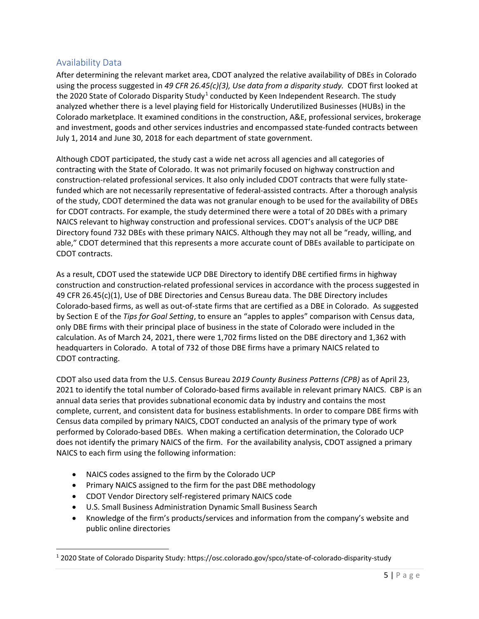## <span id="page-4-0"></span>Availability Data

After determining the relevant market area, CDOT analyzed the relative availability of DBEs in Colorado using the process suggested in *49 CFR 26.45(c)(3), Use data from a disparity study.* CDOT first looked at the 2020 State of Colorado Disparity Study<sup>[1](#page-4-1)</sup> conducted by Keen Independent Research. The study analyzed whether there is a level playing field for Historically Underutilized Businesses (HUBs) in the Colorado marketplace. It examined conditions in the construction, A&E, professional services, brokerage and investment, goods and other services industries and encompassed state-funded contracts between July 1, 2014 and June 30, 2018 for each department of state government.

Although CDOT participated, the study cast a wide net across all agencies and all categories of contracting with the State of Colorado. It was not primarily focused on highway construction and construction-related professional services. It also only included CDOT contracts that were fully statefunded which are not necessarily representative of federal-assisted contracts. After a thorough analysis of the study, CDOT determined the data was not granular enough to be used for the availability of DBEs for CDOT contracts. For example, the study determined there were a total of 20 DBEs with a primary NAICS relevant to highway construction and professional services. CDOT's analysis of the UCP DBE Directory found 732 DBEs with these primary NAICS. Although they may not all be "ready, willing, and able," CDOT determined that this represents a more accurate count of DBEs available to participate on CDOT contracts.

As a result, CDOT used the statewide UCP DBE Directory to identify DBE certified firms in highway construction and construction-related professional services in accordance with the process suggested in 49 CFR 26.45(c)(1), Use of DBE Directories and Census Bureau data. The DBE Directory includes Colorado-based firms, as well as out-of-state firms that are certified as a DBE in Colorado. As suggested by Section E of the *Tips for Goal Setting*, to ensure an "apples to apples" comparison with Census data, only DBE firms with their principal place of business in the state of Colorado were included in the calculation. As of March 24, 2021, there were 1,702 firms listed on the DBE directory and 1,362 with headquarters in Colorado. A total of 732 of those DBE firms have a primary NAICS related to CDOT contracting.

CDOT also used data from the U.S. Census Bureau 2*019 County Business Patterns (CPB)* as of April 23, 2021 to identify the total number of Colorado-based firms available in relevant primary NAICS. CBP is an annual data series that provides subnational economic data by industry and contains the most complete, current, and consistent data for business establishments. In order to compare DBE firms with Census data compiled by primary NAICS, CDOT conducted an analysis of the primary type of work performed by Colorado-based DBEs. When making a certification determination, the Colorado UCP does not identify the primary NAICS of the firm. For the availability analysis, CDOT assigned a primary NAICS to each firm using the following information:

- NAICS codes assigned to the firm by the Colorado UCP
- Primary NAICS assigned to the firm for the past DBE methodology
- CDOT Vendor Directory self-registered primary NAICS code
- U.S. Small Business Administration Dynamic Small Business Search
- Knowledge of the firm's products/services and information from the company's website and public online directories

<span id="page-4-1"></span><sup>1</sup> 2020 State of Colorado Disparity Study: https://osc.colorado.gov/spco/state-of-colorado-disparity-study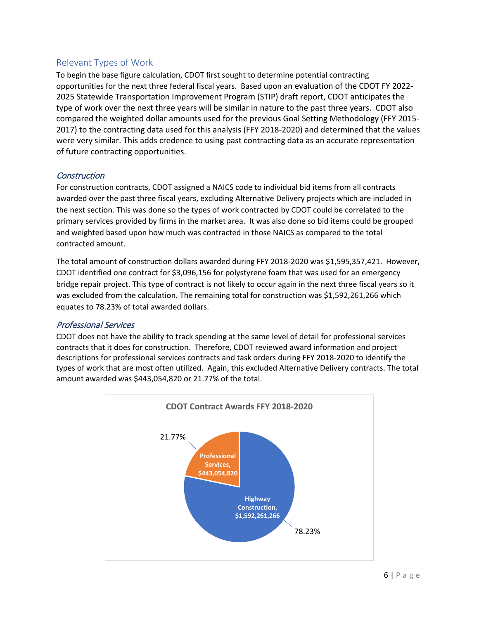## <span id="page-5-0"></span>Relevant Types of Work

To begin the base figure calculation, CDOT first sought to determine potential contracting opportunities for the next three federal fiscal years. Based upon an evaluation of the CDOT FY 2022- 2025 Statewide Transportation Improvement Program (STIP) draft report, CDOT anticipates the type of work over the next three years will be similar in nature to the past three years. CDOT also compared the weighted dollar amounts used for the previous Goal Setting Methodology (FFY 2015- 2017) to the contracting data used for this analysis (FFY 2018-2020) and determined that the values were very similar. This adds credence to using past contracting data as an accurate representation of future contracting opportunities.

## <span id="page-5-1"></span>**Construction**

For construction contracts, CDOT assigned a NAICS code to individual bid items from all contracts awarded over the past three fiscal years, excluding Alternative Delivery projects which are included in the next section. This was done so the types of work contracted by CDOT could be correlated to the primary services provided by firms in the market area. It was also done so bid items could be grouped and weighted based upon how much was contracted in those NAICS as compared to the total contracted amount.

The total amount of construction dollars awarded during FFY 2018-2020 was \$1,595,357,421. However, CDOT identified one contract for \$3,096,156 for polystyrene foam that was used for an emergency bridge repair project. This type of contract is not likely to occur again in the next three fiscal years so it was excluded from the calculation. The remaining total for construction was \$1,592,261,266 which equates to 78.23% of total awarded dollars.

#### <span id="page-5-2"></span>Professional Services

CDOT does not have the ability to track spending at the same level of detail for professional services contracts that it does for construction. Therefore, CDOT reviewed award information and project descriptions for professional services contracts and task orders during FFY 2018-2020 to identify the types of work that are most often utilized. Again, this excluded Alternative Delivery contracts. The total amount awarded was \$443,054,820 or 21.77% of the total.

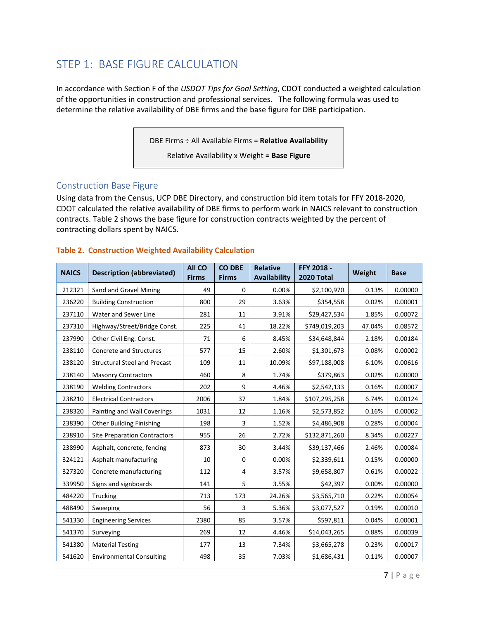# <span id="page-6-0"></span>STEP 1: BASE FIGURE CALCULATION

In accordance with Section F of the *USDOT Tips for Goal Setting*, CDOT conducted a weighted calculation of the opportunities in construction and professional services. The following formula was used to determine the relative availability of DBE firms and the base figure for DBE participation.

DBE Firms ÷ All Available Firms = **Relative Availability**

Relative Availability x Weight **= Base Figure**

#### <span id="page-6-1"></span>Construction Base Figure

Using data from the Census, UCP DBE Directory, and construction bid item totals for FFY 2018-2020, CDOT calculated the relative availability of DBE firms to perform work in NAICS relevant to construction contracts. Table 2 shows the base figure for construction contracts weighted by the percent of contracting dollars spent by NAICS.

| <b>NAICS</b> | <b>Description (abbreviated)</b>    | <b>All CO</b><br><b>Firms</b> | <b>CO DBE</b><br><b>Firms</b> | <b>Relative</b><br><b>Availability</b> | FFY 2018 -<br><b>2020 Total</b> | Weight | <b>Base</b> |
|--------------|-------------------------------------|-------------------------------|-------------------------------|----------------------------------------|---------------------------------|--------|-------------|
| 212321       | Sand and Gravel Mining              | 49                            | 0                             | 0.00%                                  | \$2,100,970                     | 0.13%  | 0.00000     |
| 236220       | <b>Building Construction</b>        | 800                           | 29                            | 3.63%                                  | \$354,558                       | 0.02%  | 0.00001     |
| 237110       | Water and Sewer Line                | 281                           | 11                            | 3.91%                                  | \$29,427,534                    | 1.85%  | 0.00072     |
| 237310       | Highway/Street/Bridge Const.        | 225                           | 41                            | 18.22%                                 | \$749,019,203                   | 47.04% | 0.08572     |
| 237990       | Other Civil Eng. Const.             | 71                            | 6                             | 8.45%                                  | \$34,648,844                    | 2.18%  | 0.00184     |
| 238110       | <b>Concrete and Structures</b>      | 577                           | 15                            | 2.60%                                  | \$1,301,673                     | 0.08%  | 0.00002     |
| 238120       | <b>Structural Steel and Precast</b> | 109                           | 11                            | 10.09%                                 | \$97,188,008                    | 6.10%  | 0.00616     |
| 238140       | <b>Masonry Contractors</b>          | 460                           | 8                             | 1.74%                                  | \$379,863                       | 0.02%  | 0.00000     |
| 238190       | <b>Welding Contractors</b>          | 202                           | 9                             | 4.46%                                  | \$2,542,133                     | 0.16%  | 0.00007     |
| 238210       | <b>Electrical Contractors</b>       | 2006                          | 37                            | 1.84%                                  | \$107,295,258                   | 6.74%  | 0.00124     |
| 238320       | Painting and Wall Coverings         | 1031                          | 12                            | 1.16%                                  | \$2,573,852                     | 0.16%  | 0.00002     |
| 238390       | <b>Other Building Finishing</b>     | 198                           | 3                             | 1.52%                                  | \$4,486,908                     | 0.28%  | 0.00004     |
| 238910       | <b>Site Preparation Contractors</b> | 955                           | 26                            | 2.72%                                  | \$132,871,260                   | 8.34%  | 0.00227     |
| 238990       | Asphalt, concrete, fencing          | 873                           | 30                            | 3.44%                                  | \$39,137,466                    | 2.46%  | 0.00084     |
| 324121       | Asphalt manufacturing               | 10                            | 0                             | 0.00%                                  | \$2,339,611                     | 0.15%  | 0.00000     |
| 327320       | Concrete manufacturing              | 112                           | 4                             | 3.57%                                  | \$9,658,807                     | 0.61%  | 0.00022     |
| 339950       | Signs and signboards                | 141                           | 5                             | 3.55%                                  | \$42,397                        | 0.00%  | 0.00000     |
| 484220       | Trucking                            | 713                           | 173                           | 24.26%                                 | \$3,565,710                     | 0.22%  | 0.00054     |
| 488490       | Sweeping                            | 56                            | 3                             | 5.36%                                  | \$3,077,527                     | 0.19%  | 0.00010     |
| 541330       | <b>Engineering Services</b>         | 2380                          | 85                            | 3.57%                                  | \$597,811                       | 0.04%  | 0.00001     |
| 541370       | Surveying                           | 269                           | 12                            | 4.46%                                  | \$14,043,265                    | 0.88%  | 0.00039     |
| 541380       | <b>Material Testing</b>             | 177                           | 13                            | 7.34%                                  | \$3,665,278                     | 0.23%  | 0.00017     |
| 541620       | <b>Environmental Consulting</b>     | 498                           | 35                            | 7.03%                                  | \$1,686,431                     | 0.11%  | 0.00007     |

#### **Table 2. Construction Weighted Availability Calculation**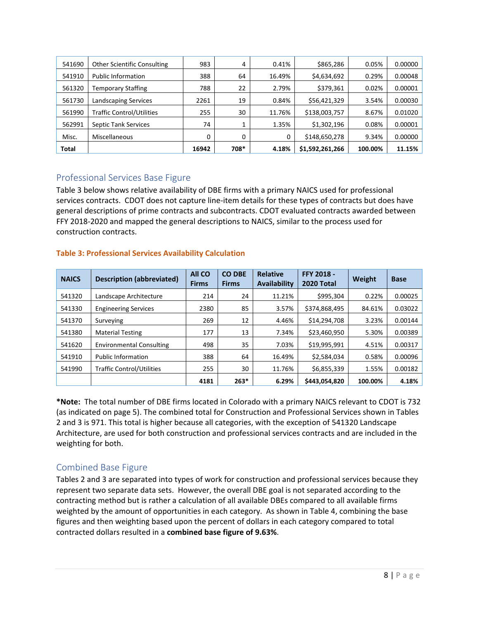| 541690 | <b>Other Scientific Consulting</b> | 983   | 4       | 0.41%  | \$865,286       | 0.05%   | 0.00000 |
|--------|------------------------------------|-------|---------|--------|-----------------|---------|---------|
| 541910 | <b>Public Information</b>          | 388   | 64      | 16.49% | \$4,634,692     | 0.29%   | 0.00048 |
| 561320 | <b>Temporary Staffing</b>          | 788   | 22      | 2.79%  | \$379,361       | 0.02%   | 0.00001 |
| 561730 | <b>Landscaping Services</b>        | 2261  | 19      | 0.84%  | \$56,421,329    | 3.54%   | 0.00030 |
| 561990 | <b>Traffic Control/Utilities</b>   | 255   | 30      | 11.76% | \$138,003,757   | 8.67%   | 0.01020 |
| 562991 | <b>Septic Tank Services</b>        | 74    | 1<br>÷. | 1.35%  | \$1,302,196     | 0.08%   | 0.00001 |
| Misc.  | <b>Miscellaneous</b>               | 0     | 0       | 0      | \$148,650,278   | 9.34%   | 0.00000 |
| Total  |                                    | 16942 | 708*    | 4.18%  | \$1,592,261,266 | 100.00% | 11.15%  |

## <span id="page-7-0"></span>Professional Services Base Figure

Table 3 below shows relative availability of DBE firms with a primary NAICS used for professional services contracts. CDOT does not capture line-item details for these types of contracts but does have general descriptions of prime contracts and subcontracts. CDOT evaluated contracts awarded between FFY 2018-2020 and mapped the general descriptions to NAICS, similar to the process used for construction contracts.

## **Table 3: Professional Services Availability Calculation**

| <b>NAICS</b> | <b>Description (abbreviated)</b> | <b>All CO</b><br><b>Firms</b> | <b>CO DBE</b><br><b>Firms</b> | <b>Relative</b><br><b>Availability</b> | <b>FFY 2018 -</b><br><b>2020 Total</b> | Weight  | <b>Base</b> |
|--------------|----------------------------------|-------------------------------|-------------------------------|----------------------------------------|----------------------------------------|---------|-------------|
| 541320       | Landscape Architecture           | 214                           | 24                            | 11.21%                                 | \$995,304                              | 0.22%   | 0.00025     |
| 541330       | <b>Engineering Services</b>      | 2380                          | 85                            | 3.57%                                  | \$374,868,495                          | 84.61%  | 0.03022     |
| 541370       | Surveying                        | 269                           | 12                            | 4.46%                                  | \$14,294,708                           | 3.23%   | 0.00144     |
| 541380       | <b>Material Testing</b>          | 177                           | 13                            | 7.34%                                  | \$23,460,950                           | 5.30%   | 0.00389     |
| 541620       | <b>Environmental Consulting</b>  | 498                           | 35                            | 7.03%                                  | \$19,995,991                           | 4.51%   | 0.00317     |
| 541910       | <b>Public Information</b>        | 388                           | 64                            | 16.49%                                 | \$2,584,034                            | 0.58%   | 0.00096     |
| 541990       | <b>Traffic Control/Utilities</b> | 255                           | 30                            | 11.76%                                 | \$6,855,339                            | 1.55%   | 0.00182     |
|              |                                  | 4181                          | $263*$                        | 6.29%                                  | \$443,054,820                          | 100.00% | 4.18%       |

**\*Note:** The total number of DBE firms located in Colorado with a primary NAICS relevant to CDOT is 732 (as indicated on page 5). The combined total for Construction and Professional Services shown in Tables 2 and 3 is 971. This total is higher because all categories, with the exception of 541320 Landscape Architecture, are used for both construction and professional services contracts and are included in the weighting for both.

## <span id="page-7-1"></span>Combined Base Figure

Tables 2 and 3 are separated into types of work for construction and professional services because they represent two separate data sets. However, the overall DBE goal is not separated according to the contracting method but is rather a calculation of all available DBEs compared to all available firms weighted by the amount of opportunities in each category. As shown in Table 4, combining the base figures and then weighting based upon the percent of dollars in each category compared to total contracted dollars resulted in a **combined base figure of 9.63%**.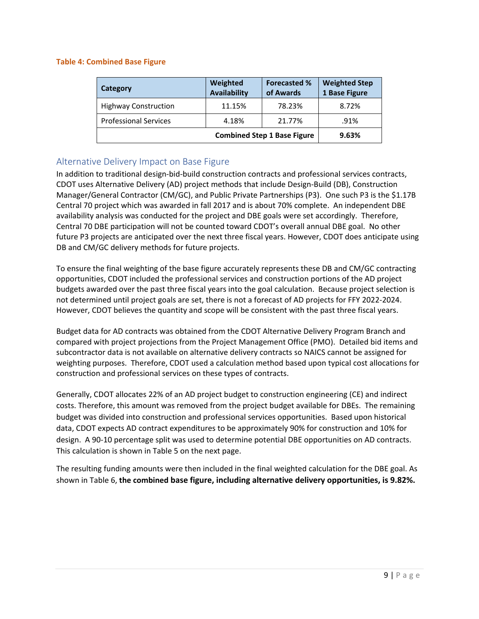#### **Table 4: Combined Base Figure**

| Category                     | Weighted<br><b>Availability</b>    | <b>Forecasted %</b><br>of Awards | <b>Weighted Step</b><br>1 Base Figure |
|------------------------------|------------------------------------|----------------------------------|---------------------------------------|
| <b>Highway Construction</b>  | 11.15%                             | 78.23%                           | 8.72%                                 |
| <b>Professional Services</b> | 4.18%                              | 21.77%                           | .91%                                  |
|                              | <b>Combined Step 1 Base Figure</b> | 9.63%                            |                                       |

## <span id="page-8-0"></span>Alternative Delivery Impact on Base Figure

In addition to traditional design-bid-build construction contracts and professional services contracts, CDOT uses Alternative Delivery (AD) project methods that include Design-Build (DB), Construction Manager/General Contractor (CM/GC), and Public Private Partnerships (P3). One such P3 is the \$1.17B Central 70 project which was awarded in fall 2017 and is about 70% complete. An independent DBE availability analysis was conducted for the project and DBE goals were set accordingly. Therefore, Central 70 DBE participation will not be counted toward CDOT's overall annual DBE goal. No other future P3 projects are anticipated over the next three fiscal years. However, CDOT does anticipate using DB and CM/GC delivery methods for future projects.

To ensure the final weighting of the base figure accurately represents these DB and CM/GC contracting opportunities, CDOT included the professional services and construction portions of the AD project budgets awarded over the past three fiscal years into the goal calculation. Because project selection is not determined until project goals are set, there is not a forecast of AD projects for FFY 2022-2024. However, CDOT believes the quantity and scope will be consistent with the past three fiscal years.

Budget data for AD contracts was obtained from the CDOT Alternative Delivery Program Branch and compared with project projections from the Project Management Office (PMO). Detailed bid items and subcontractor data is not available on alternative delivery contracts so NAICS cannot be assigned for weighting purposes. Therefore, CDOT used a calculation method based upon typical cost allocations for construction and professional services on these types of contracts.

Generally, CDOT allocates 22% of an AD project budget to construction engineering (CE) and indirect costs. Therefore, this amount was removed from the project budget available for DBEs. The remaining budget was divided into construction and professional services opportunities. Based upon historical data, CDOT expects AD contract expenditures to be approximately 90% for construction and 10% for design. A 90-10 percentage split was used to determine potential DBE opportunities on AD contracts. This calculation is shown in Table 5 on the next page.

The resulting funding amounts were then included in the final weighted calculation for the DBE goal. As shown in Table 6, **the combined base figure, including alternative delivery opportunities, is 9.82%.**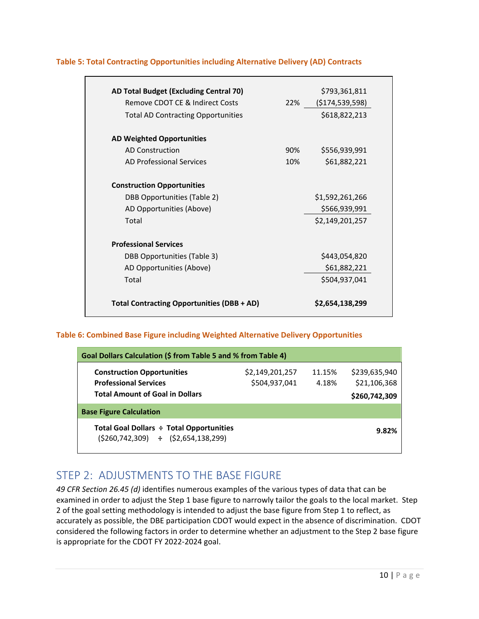| AD Total Budget (Excluding Central 70)            |     | \$793,361,811      |
|---------------------------------------------------|-----|--------------------|
| Remove CDOT CE & Indirect Costs                   | 22% | ( \$174, 539, 598) |
| <b>Total AD Contracting Opportunities</b>         |     | \$618,822,213      |
| <b>AD Weighted Opportunities</b>                  |     |                    |
| <b>AD Construction</b>                            | 90% | \$556,939,991      |
| AD Professional Services                          | 10% | \$61,882,221       |
| <b>Construction Opportunities</b>                 |     |                    |
| DBB Opportunities (Table 2)                       |     | \$1,592,261,266    |
| AD Opportunities (Above)                          |     | \$566,939,991      |
| Total                                             |     | \$2,149,201,257    |
| <b>Professional Services</b>                      |     |                    |
| <b>DBB Opportunities (Table 3)</b>                |     | \$443,054,820      |
| AD Opportunities (Above)                          |     | \$61,882,221       |
| Total                                             |     | \$504,937,041      |
| <b>Total Contracting Opportunities (DBB + AD)</b> |     | \$2,654,138,299    |

#### **Table 5: Total Contracting Opportunities including Alternative Delivery (AD) Contracts**

#### **Table 6: Combined Base Figure including Weighted Alternative Delivery Opportunities**

| Goal Dollars Calculation (\$ from Table 5 and % from Table 4)                               |                                  |                 |                               |  |  |  |
|---------------------------------------------------------------------------------------------|----------------------------------|-----------------|-------------------------------|--|--|--|
| <b>Construction Opportunities</b><br><b>Professional Services</b>                           | \$2,149,201,257<br>\$504,937,041 | 11.15%<br>4.18% | \$239,635,940<br>\$21,106,368 |  |  |  |
| <b>Total Amount of Goal in Dollars</b>                                                      |                                  |                 | \$260,742,309                 |  |  |  |
| <b>Base Figure Calculation</b>                                                              |                                  |                 |                               |  |  |  |
| Total Goal Dollars ÷ Total Opportunities<br>$(5260, 742, 309)$ $\div$ $(52, 654, 138, 299)$ |                                  |                 | 9.82%                         |  |  |  |

## <span id="page-9-0"></span>STEP 2: ADJUSTMENTS TO THE BASE FIGURE

*49 CFR Section 26.45 (d)* identifies numerous examples of the various types of data that can be examined in order to adjust the Step 1 base figure to narrowly tailor the goals to the local market. Step 2 of the goal setting methodology is intended to adjust the base figure from Step 1 to reflect, as accurately as possible, the DBE participation CDOT would expect in the absence of discrimination. CDOT considered the following factors in order to determine whether an adjustment to the Step 2 base figure is appropriate for the CDOT FY 2022-2024 goal.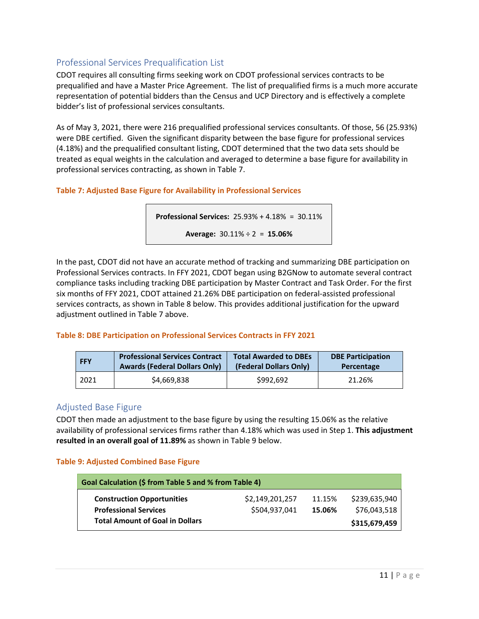## <span id="page-10-0"></span>Professional Services Prequalification List

CDOT requires all consulting firms seeking work on CDOT professional services contracts to be prequalified and have a Master Price Agreement. The list of prequalified firms is a much more accurate representation of potential bidders than the Census and UCP Directory and is effectively a complete bidder's list of professional services consultants.

As of May 3, 2021, there were 216 prequalified professional services consultants. Of those, 56 (25.93%) were DBE certified. Given the significant disparity between the base figure for professional services (4.18%) and the prequalified consultant listing, CDOT determined that the two data sets should be treated as equal weights in the calculation and averaged to determine a base figure for availability in professional services contracting, as shown in Table 7.

## **Table 7: Adjusted Base Figure for Availability in Professional Services**

**Professional Services:** 25.93% + 4.18% = 30.11%

**Average:** 30.11% ÷ 2 = **15.06%**

In the past, CDOT did not have an accurate method of tracking and summarizing DBE participation on Professional Services contracts. In FFY 2021, CDOT began using B2GNow to automate several contract compliance tasks including tracking DBE participation by Master Contract and Task Order. For the first six months of FFY 2021, CDOT attained 21.26% DBE participation on federal-assisted professional services contracts, as shown in Table 8 below. This provides additional justification for the upward adjustment outlined in Table 7 above.

#### **Table 8: DBE Participation on Professional Services Contracts in FFY 2021**

| <b>FFY</b> | <b>Professional Services Contract</b> | <b>Total Awarded to DBEs</b> | <b>DBE Participation</b> |
|------------|---------------------------------------|------------------------------|--------------------------|
|            | <b>Awards (Federal Dollars Only)</b>  | (Federal Dollars Only)       | Percentage               |
| 2021       | \$4,669,838                           | \$992.692                    | 21.26%                   |

## <span id="page-10-1"></span>Adjusted Base Figure

CDOT then made an adjustment to the base figure by using the resulting 15.06% as the relative availability of professional services firms rather than 4.18% which was used in Step 1. **This adjustment resulted in an overall goal of 11.89%** as shown in Table 9 below.

#### **Table 9: Adjusted Combined Base Figure**

| Goal Calculation (\$ from Table 5 and % from Table 4)             |                                  |                  |                               |  |  |
|-------------------------------------------------------------------|----------------------------------|------------------|-------------------------------|--|--|
| <b>Construction Opportunities</b><br><b>Professional Services</b> | \$2,149,201,257<br>\$504,937,041 | 11.15%<br>15.06% | \$239,635,940<br>\$76,043,518 |  |  |
| <b>Total Amount of Goal in Dollars</b>                            |                                  |                  | \$315,679,459                 |  |  |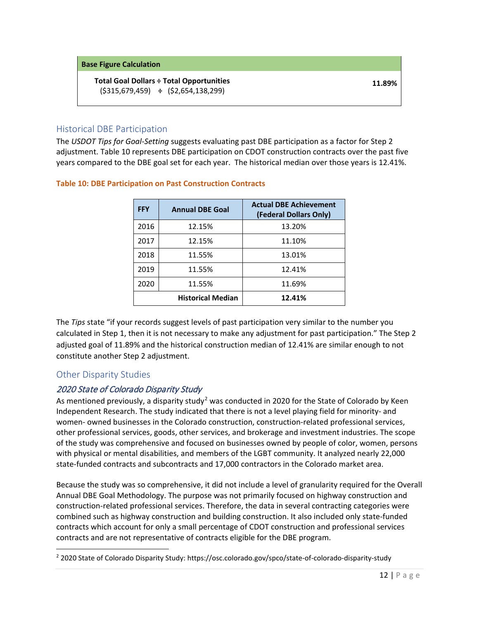#### **Base Figure Calculation**

## **Total Goal Dollars ÷ Total Opportunities**

(\$315,679,459) **÷** (\$2,654,138,299)

## <span id="page-11-0"></span>Historical DBE Participation

The *USDOT Tips for Goal‐Setting* suggests evaluating past DBE participation as a factor for Step 2 adjustment. Table 10 represents DBE participation on CDOT construction contracts over the past five years compared to the DBE goal set for each year. The historical median over those years is 12.41%.

| <b>FFY</b>               | <b>Annual DBE Goal</b> | <b>Actual DBE Achievement</b><br>(Federal Dollars Only) |
|--------------------------|------------------------|---------------------------------------------------------|
| 2016                     | 12.15%                 | 13.20%                                                  |
| 2017                     | 12.15%                 | 11.10%                                                  |
| 2018                     | 11.55%                 | 13.01%                                                  |
| 2019                     | 11.55%                 | 12.41%                                                  |
| 2020                     | 11.55%                 | 11.69%                                                  |
| <b>Historical Median</b> |                        | 12.41%                                                  |

#### **Table 10: DBE Participation on Past Construction Contracts**

The *Tips* state "if your records suggest levels of past participation very similar to the number you calculated in Step 1, then it is not necessary to make any adjustment for past participation." The Step 2 adjusted goal of 11.89% and the historical construction median of 12.41% are similar enough to not constitute another Step 2 adjustment.

## <span id="page-11-1"></span>Other Disparity Studies

## <span id="page-11-2"></span>2020 State of Colorado Disparity Study

As mentioned previously, a disparity study<sup>[2](#page-11-3)</sup> was conducted in 2020 for the State of Colorado by Keen Independent Research. The study indicated that there is not a level playing field for minority- and women- owned businesses in the Colorado construction, construction-related professional services, other professional services, goods, other services, and brokerage and investment industries. The scope of the study was comprehensive and focused on businesses owned by people of color, women, persons with physical or mental disabilities, and members of the LGBT community. It analyzed nearly 22,000 state-funded contracts and subcontracts and 17,000 contractors in the Colorado market area.

Because the study was so comprehensive, it did not include a level of granularity required for the Overall Annual DBE Goal Methodology. The purpose was not primarily focused on highway construction and construction-related professional services. Therefore, the data in several contracting categories were combined such as highway construction and building construction. It also included only state-funded contracts which account for only a small percentage of CDOT construction and professional services contracts and are not representative of contracts eligible for the DBE program.

<span id="page-11-3"></span><sup>2</sup> 2020 State of Colorado Disparity Study: https://osc.colorado.gov/spco/state-of-colorado-disparity-study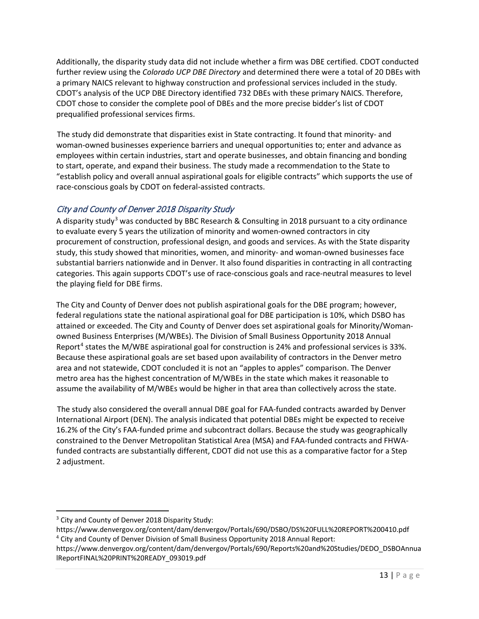Additionally, the disparity study data did not include whether a firm was DBE certified. CDOT conducted further review using the *Colorado UCP DBE Directory* and determined there were a total of 20 DBEs with a primary NAICS relevant to highway construction and professional services included in the study. CDOT's analysis of the UCP DBE Directory identified 732 DBEs with these primary NAICS. Therefore, CDOT chose to consider the complete pool of DBEs and the more precise bidder's list of CDOT prequalified professional services firms.

The study did demonstrate that disparities exist in State contracting. It found that minority- and woman-owned businesses experience barriers and unequal opportunities to; enter and advance as employees within certain industries, start and operate businesses, and obtain financing and bonding to start, operate, and expand their business. The study made a recommendation to the State to "establish policy and overall annual aspirational goals for eligible contracts" which supports the use of race-conscious goals by CDOT on federal-assisted contracts.

## <span id="page-12-0"></span>City and County of Denver 2018 Disparity Study

A disparity study<sup>[3](#page-12-1)</sup> was conducted by BBC Research & Consulting in 2018 pursuant to a city ordinance to evaluate every 5 years the utilization of minority and women-owned contractors in city procurement of construction, professional design, and goods and services. As with the State disparity study, this study showed that minorities, women, and minority- and woman-owned businesses face substantial barriers nationwide and in Denver. It also found disparities in contracting in all contracting categories. This again supports CDOT's use of race-conscious goals and race-neutral measures to level the playing field for DBE firms.

The City and County of Denver does not publish aspirational goals for the DBE program; however, federal regulations state the national aspirational goal for DBE participation is 10%, which DSBO has attained or exceeded. The City and County of Denver does set aspirational goals for Minority/Womanowned Business Enterprises (M/WBEs). The Division of Small Business Opportunity 2018 Annual Report<sup>[4](#page-12-2)</sup> states the M/WBE aspirational goal for construction is 24% and professional services is 33%. Because these aspirational goals are set based upon availability of contractors in the Denver metro area and not statewide, CDOT concluded it is not an "apples to apples" comparison. The Denver metro area has the highest concentration of M/WBEs in the state which makes it reasonable to assume the availability of M/WBEs would be higher in that area than collectively across the state.

The study also considered the overall annual DBE goal for FAA-funded contracts awarded by Denver International Airport (DEN). The analysis indicated that potential DBEs might be expected to receive 16.2% of the City's FAA-funded prime and subcontract dollars. Because the study was geographically constrained to the Denver Metropolitan Statistical Area (MSA) and FAA-funded contracts and FHWAfunded contracts are substantially different, CDOT did not use this as a comparative factor for a Step 2 adjustment.

<span id="page-12-1"></span><sup>&</sup>lt;sup>3</sup> City and County of Denver 2018 Disparity Study:

https://www.denvergov.org/content/dam/denvergov/Portals/690/DSBO/DS%20FULL%20REPORT%200410.pdf <sup>4</sup> City and County of Denver Division of Small Business Opportunity 2018 Annual Report:

<span id="page-12-2"></span>https://www.denvergov.org/content/dam/denvergov/Portals/690/Reports%20and%20Studies/DEDO\_DSBOAnnua lReportFINAL%20PRINT%20READY\_093019.pdf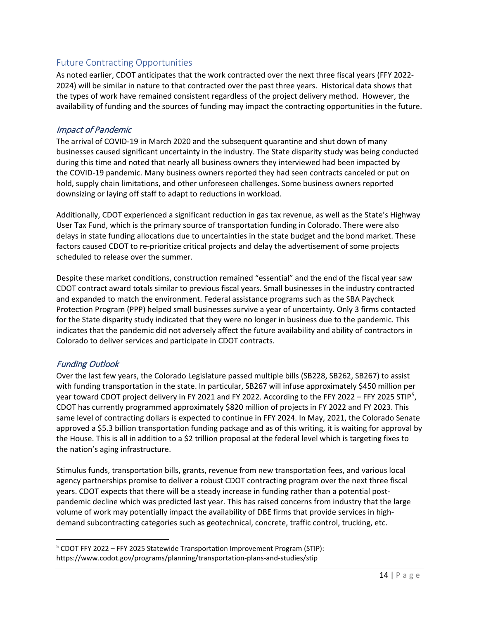## <span id="page-13-0"></span>Future Contracting Opportunities

As noted earlier, CDOT anticipates that the work contracted over the next three fiscal years (FFY 2022- 2024) will be similar in nature to that contracted over the past three years. Historical data shows that the types of work have remained consistent regardless of the project delivery method. However, the availability of funding and the sources of funding may impact the contracting opportunities in the future.

#### <span id="page-13-1"></span>Impact of Pandemic

The arrival of COVID-19 in March 2020 and the subsequent quarantine and shut down of many businesses caused significant uncertainty in the industry. The State disparity study was being conducted during this time and noted that nearly all business owners they interviewed had been impacted by the COVID-19 pandemic. Many business owners reported they had seen contracts canceled or put on hold, supply chain limitations, and other unforeseen challenges. Some business owners reported downsizing or laying off staff to adapt to reductions in workload.

Additionally, CDOT experienced a significant reduction in gas tax revenue, as well as the State's Highway User Tax Fund, which is the primary source of transportation funding in Colorado. There were also delays in state funding allocations due to uncertainties in the state budget and the bond market. These factors caused CDOT to re-prioritize critical projects and delay the advertisement of some projects scheduled to release over the summer.

Despite these market conditions, construction remained "essential" and the end of the fiscal year saw CDOT contract award totals similar to previous fiscal years. Small businesses in the industry contracted and expanded to match the environment. Federal assistance programs such as the SBA Paycheck Protection Program (PPP) helped small businesses survive a year of uncertainty. Only 3 firms contacted for the State disparity study indicated that they were no longer in business due to the pandemic. This indicates that the pandemic did not adversely affect the future availability and ability of contractors in Colorado to deliver services and participate in CDOT contracts.

#### <span id="page-13-2"></span>Funding Outlook

Over the last few years, the Colorado Legislature passed multiple bills (SB228, SB262, SB267) to assist with funding transportation in the state. In particular, SB267 will infuse approximately \$450 million per year toward CDOT project delivery in FY 2021 and FY 2022. According to the FFY 2022 - FFY 202[5](#page-13-3) STIP<sup>5</sup>, CDOT has currently programmed approximately \$820 million of projects in FY 2022 and FY 2023. This same level of contracting dollars is expected to continue in FFY 2024. In May, 2021, the Colorado Senate approved a \$5.3 billion transportation funding package and as of this writing, it is waiting for approval by the House. This is all in addition to a \$2 trillion proposal at the federal level which is targeting fixes to the nation's aging infrastructure.

Stimulus funds, transportation bills, grants, revenue from new transportation fees, and various local agency partnerships promise to deliver a robust CDOT contracting program over the next three fiscal years. CDOT expects that there will be a steady increase in funding rather than a potential postpandemic decline which was predicted last year. This has raised concerns from industry that the large volume of work may potentially impact the availability of DBE firms that provide services in highdemand subcontracting categories such as geotechnical, concrete, traffic control, trucking, etc.

<span id="page-13-3"></span><sup>5</sup> CDOT FFY 2022 – FFY 2025 Statewide Transportation Improvement Program (STIP): https://www.codot.gov/programs/planning/transportation-plans-and-studies/stip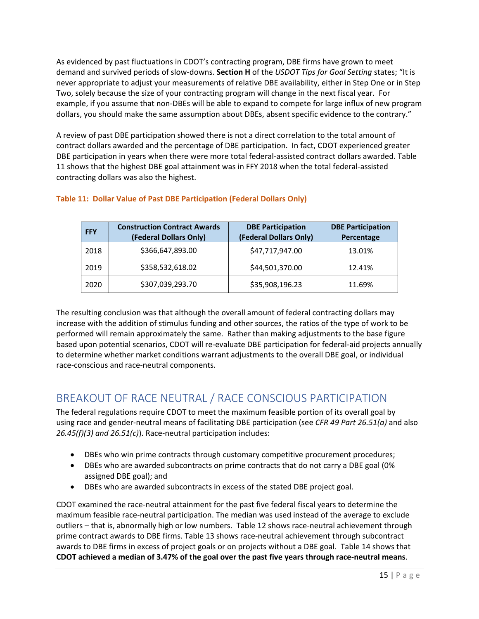As evidenced by past fluctuations in CDOT's contracting program, DBE firms have grown to meet demand and survived periods of slow-downs. **Section H** of the *USDOT Tips for Goal Setting* states; "It is never appropriate to adjust your measurements of relative DBE availability, either in Step One or in Step Two, solely because the size of your contracting program will change in the next fiscal year. For example, if you assume that non-DBEs will be able to expand to compete for large influx of new program dollars, you should make the same assumption about DBEs, absent specific evidence to the contrary."

A review of past DBE participation showed there is not a direct correlation to the total amount of contract dollars awarded and the percentage of DBE participation. In fact, CDOT experienced greater DBE participation in years when there were more total federal-assisted contract dollars awarded. Table 11 shows that the highest DBE goal attainment was in FFY 2018 when the total federal-assisted contracting dollars was also the highest.

| <b>FFY</b> | <b>Construction Contract Awards</b><br>(Federal Dollars Only) | <b>DBE Participation</b><br>(Federal Dollars Only) | <b>DBE Participation</b><br>Percentage |
|------------|---------------------------------------------------------------|----------------------------------------------------|----------------------------------------|
| 2018       | \$366,647,893.00                                              | \$47,717,947.00                                    | 13.01%                                 |
| 2019       | \$358,532,618.02                                              | \$44,501,370.00                                    | 12.41%                                 |
| 2020       | \$307,039,293.70                                              | \$35,908,196.23                                    | 11.69%                                 |

## **Table 11: Dollar Value of Past DBE Participation (Federal Dollars Only)**

The resulting conclusion was that although the overall amount of federal contracting dollars may increase with the addition of stimulus funding and other sources, the ratios of the type of work to be performed will remain approximately the same. Rather than making adjustments to the base figure based upon potential scenarios, CDOT will re-evaluate DBE participation for federal-aid projects annually to determine whether market conditions warrant adjustments to the overall DBE goal, or individual race-conscious and race-neutral components.

# <span id="page-14-0"></span>BREAKOUT OF RACE NEUTRAL / RACE CONSCIOUS PARTICIPATION

The federal regulations require CDOT to meet the maximum feasible portion of its overall goal by using race and gender-neutral means of facilitating DBE participation (see *CFR 49 Part 26.51(a)* and also *26.45(f)(3) and 26.51(c)*). Race-neutral participation includes:

- DBEs who win prime contracts through customary competitive procurement procedures;
- DBEs who are awarded subcontracts on prime contracts that do not carry a DBE goal (0% assigned DBE goal); and
- DBEs who are awarded subcontracts in excess of the stated DBE project goal.

CDOT examined the race-neutral attainment for the past five federal fiscal years to determine the maximum feasible race-neutral participation. The median was used instead of the average to exclude outliers – that is, abnormally high or low numbers. Table 12 shows race-neutral achievement through prime contract awards to DBE firms. Table 13 shows race-neutral achievement through subcontract awards to DBE firms in excess of project goals or on projects without a DBE goal. Table 14 shows that **CDOT achieved a median of 3.47% of the goal over the past five years through race-neutral means**.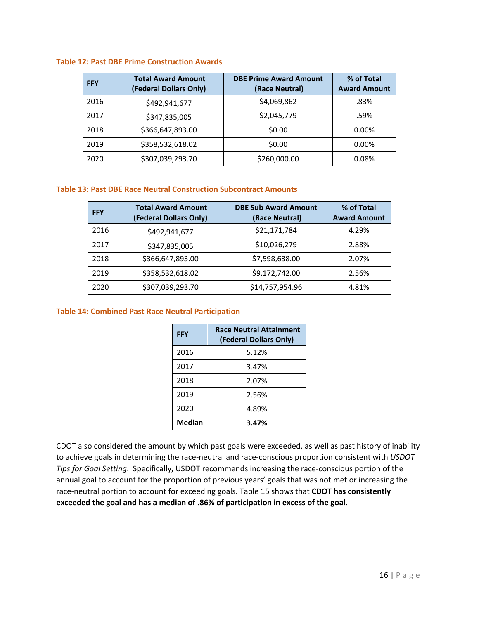#### **Table 12: Past DBE Prime Construction Awards**

| <b>FFY</b> | <b>Total Award Amount</b><br>(Federal Dollars Only) | <b>DBE Prime Award Amount</b><br>(Race Neutral) | % of Total<br><b>Award Amount</b> |
|------------|-----------------------------------------------------|-------------------------------------------------|-----------------------------------|
| 2016       | \$492,941,677                                       | \$4,069,862                                     | .83%                              |
| 2017       | \$347,835,005                                       | \$2,045,779                                     | .59%                              |
| 2018       | \$366,647,893.00                                    | \$0.00                                          | 0.00%                             |
| 2019       | \$358,532,618.02                                    | \$0.00                                          | 0.00%                             |
| 2020       | \$307,039,293.70                                    | \$260,000.00                                    | 0.08%                             |

#### **Table 13: Past DBE Race Neutral Construction Subcontract Amounts**

| <b>FFY</b> | <b>Total Award Amount</b><br>(Federal Dollars Only) | <b>DBE Sub Award Amount</b><br>(Race Neutral) | % of Total<br><b>Award Amount</b> |
|------------|-----------------------------------------------------|-----------------------------------------------|-----------------------------------|
| 2016       | \$492,941,677                                       | \$21,171,784                                  | 4.29%                             |
| 2017       | \$347,835,005                                       | \$10,026,279                                  | 2.88%                             |
| 2018       | \$366,647,893.00                                    | \$7,598,638.00                                | 2.07%                             |
| 2019       | \$358,532,618.02                                    | \$9,172,742.00                                | 2.56%                             |
| 2020       | \$307,039,293.70                                    | \$14,757,954.96                               | 4.81%                             |

#### **Table 14: Combined Past Race Neutral Participation**

| <b>FFY</b>    | <b>Race Neutral Attainment</b><br>(Federal Dollars Only) |
|---------------|----------------------------------------------------------|
| 2016          | 5.12%                                                    |
| 2017          | 3.47%                                                    |
| 2018          | 2.07%                                                    |
| 2019          | 2.56%                                                    |
| 2020          | 4.89%                                                    |
| <b>Median</b> | 3.47%                                                    |

CDOT also considered the amount by which past goals were exceeded, as well as past history of inability to achieve goals in determining the race-neutral and race-conscious proportion consistent with *USDOT Tips for Goal Setting*. Specifically, USDOT recommends increasing the race-conscious portion of the annual goal to account for the proportion of previous years' goals that was not met or increasing the race-neutral portion to account for exceeding goals. Table 15 shows that **CDOT has consistently exceeded the goal and has a median of .86% of participation in excess of the goal**.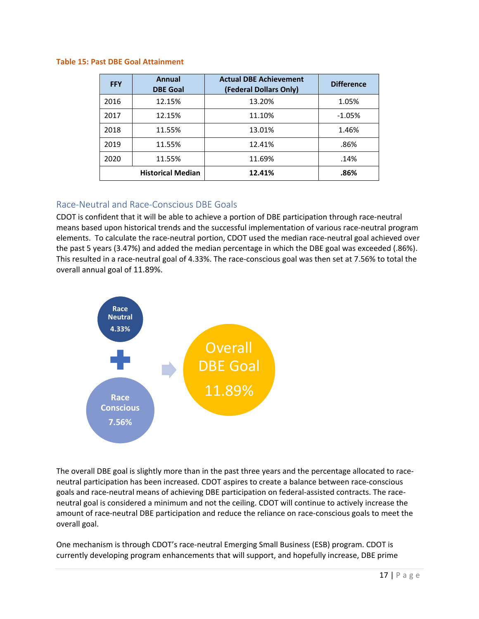#### **Table 15: Past DBE Goal Attainment**

| <b>FFY</b> | Annual<br><b>DBE Goal</b> | <b>Actual DBE Achievement</b><br>(Federal Dollars Only) | <b>Difference</b> |
|------------|---------------------------|---------------------------------------------------------|-------------------|
| 2016       | 12.15%                    | 13.20%                                                  | 1.05%             |
| 2017       | 12.15%                    | 11.10%                                                  | $-1.05%$          |
| 2018       | 11.55%                    | 13.01%                                                  | 1.46%             |
| 2019       | 11.55%                    | 12.41%                                                  | .86%              |
| 2020       | 11.55%                    | 11.69%                                                  | .14%              |
|            | <b>Historical Median</b>  | 12.41%                                                  | .86%              |

#### <span id="page-16-0"></span>Race-Neutral and Race-Conscious DBE Goals

CDOT is confident that it will be able to achieve a portion of DBE participation through race-neutral means based upon historical trends and the successful implementation of various race-neutral program elements. To calculate the race-neutral portion, CDOT used the median race-neutral goal achieved over the past 5 years (3.47%) and added the median percentage in which the DBE goal was exceeded (.86%). This resulted in a race-neutral goal of 4.33%. The race-conscious goal was then set at 7.56% to total the overall annual goal of 11.89%.



The overall DBE goal is slightly more than in the past three years and the percentage allocated to raceneutral participation has been increased. CDOT aspires to create a balance between race-conscious goals and race-neutral means of achieving DBE participation on federal-assisted contracts. The raceneutral goal is considered a minimum and not the ceiling. CDOT will continue to actively increase the amount of race-neutral DBE participation and reduce the reliance on race-conscious goals to meet the overall goal.

One mechanism is through CDOT's race-neutral Emerging Small Business (ESB) program. CDOT is currently developing program enhancements that will support, and hopefully increase, DBE prime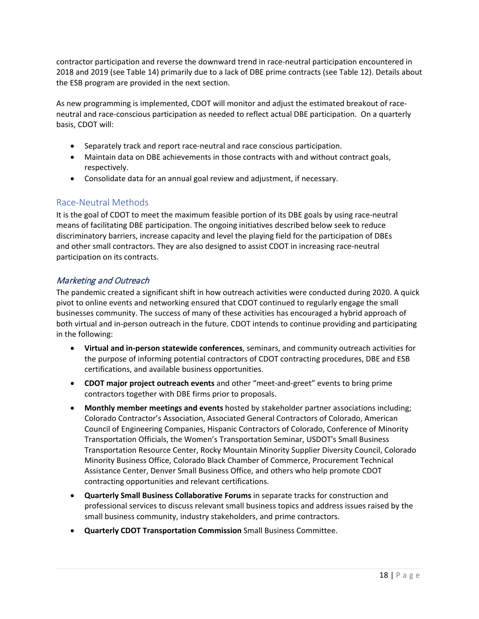contractor participation and reverse the downward trend in race-neutral participation encountered in 2018 and 2019 (see Table 14) primarily due to a lack of DBE prime contracts (see Table 12). Details about the ESB program are provided in the next section.

As new programming is implemented, CDOT will monitor and adjust the estimated breakout of raceneutral and race-conscious participation as needed to reflect actual DBE participation. On a quarterly basis, CDOT will:

- Separately track and report race-neutral and race conscious participation.
- Maintain data on DBE achievements in those contracts with and without contract goals, respectively.
- Consolidate data for an annual goal review and adjustment, if necessary.

## <span id="page-17-0"></span>Race-Neutral Methods

It is the goal of CDOT to meet the maximum feasible portion of its DBE goals by using race-neutral means of facilitating DBE participation. The ongoing initiatives described below seek to reduce discriminatory barriers, increase capacity and level the playing field for the participation of DBEs and other small contractors. They are also designed to assist CDOT in increasing race-neutral participation on its contracts.

## <span id="page-17-1"></span>Marketing and Outreach

The pandemic created a significant shift in how outreach activities were conducted during 2020. A quick pivot to online events and networking ensured that CDOT continued to regularly engage the small businesses community. The success of many of these activities has encouraged a hybrid approach of both virtual and in-person outreach in the future. CDOT intends to continue providing and participating in the following:

- **Virtual and in-person statewide conferences**, seminars, and community outreach activities for the purpose of informing potential contractors of CDOT contracting procedures, DBE and ESB certifications, and available business opportunities.
- **CDOT major project outreach events** and other "meet-and-greet" events to bring prime contractors together with DBE firms prior to proposals.
- **Monthly member meetings and events** hosted by stakeholder partner associations including; Colorado Contractor's Association, Associated General Contractors of Colorado, American Council of Engineering Companies, Hispanic Contractors of Colorado, Conference of Minority Transportation Officials, the Women's Transportation Seminar, USDOT's Small Business Transportation Resource Center, Rocky Mountain Minority Supplier Diversity Council, Colorado Minority Business Office, Colorado Black Chamber of Commerce, Procurement Technical Assistance Center, Denver Small Business Office, and others who help promote CDOT contracting opportunities and relevant certifications.
- **Quarterly Small Business Collaborative Forums** in separate tracks for construction and professional services to discuss relevant small business topics and address issues raised by the small business community, industry stakeholders, and prime contractors.
- **Quarterly CDOT Transportation Commission** Small Business Committee.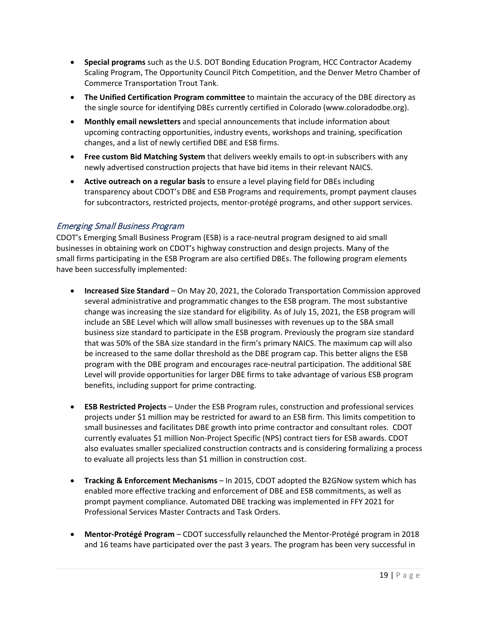- **Special programs** such as the U.S. DOT Bonding Education Program, HCC Contractor Academy Scaling Program, The Opportunity Council Pitch Competition, and the Denver Metro Chamber of Commerce Transportation Trout Tank.
- **The Unified Certification Program committee** to maintain the accuracy of the DBE directory as the single source for identifying DBEs currently certified in Colorado (www.coloradodbe.org).
- **Monthly email newsletters** and special announcements that include information about upcoming contracting opportunities, industry events, workshops and training, specification changes, and a list of newly certified DBE and ESB firms.
- **Free custom Bid Matching System** that delivers weekly emails to opt-in subscribers with any newly advertised construction projects that have bid items in their relevant NAICS.
- **Active outreach on a regular basis** to ensure a level playing field for DBEs including transparency about CDOT's DBE and ESB Programs and requirements, prompt payment clauses for subcontractors, restricted projects, mentor-protégé programs, and other support services.

#### <span id="page-18-0"></span>Emerging Small Business Program

CDOT's Emerging Small Business Program (ESB) is a race-neutral program designed to aid small businesses in obtaining work on CDOT's highway construction and design projects. Many of the small firms participating in the ESB Program are also certified DBEs. The following program elements have been successfully implemented:

- **Increased Size Standard** On May 20, 2021, the Colorado Transportation Commission approved several administrative and programmatic changes to the ESB program. The most substantive change was increasing the size standard for eligibility. As of July 15, 2021, the ESB program will include an SBE Level which will allow small businesses with revenues up to the SBA small business size standard to participate in the ESB program. Previously the program size standard that was 50% of the SBA size standard in the firm's primary NAICS. The maximum cap will also be increased to the same dollar threshold as the DBE program cap. This better aligns the ESB program with the DBE program and encourages race-neutral participation. The additional SBE Level will provide opportunities for larger DBE firms to take advantage of various ESB program benefits, including support for prime contracting.
- **ESB Restricted Projects**  Under the ESB Program rules, construction and professional services projects under \$1 million may be restricted for award to an ESB firm. This limits competition to small businesses and facilitates DBE growth into prime contractor and consultant roles. CDOT currently evaluates \$1 million Non-Project Specific (NPS) contract tiers for ESB awards. CDOT also evaluates smaller specialized construction contracts and is considering formalizing a process to evaluate all projects less than \$1 million in construction cost.
- **Tracking & Enforcement Mechanisms**  In 2015, CDOT adopted the B2GNow system which has enabled more effective tracking and enforcement of DBE and ESB commitments, as well as prompt payment compliance. Automated DBE tracking was implemented in FFY 2021 for Professional Services Master Contracts and Task Orders.
- **Mentor-Protégé Program**  CDOT successfully relaunched the Mentor-Protégé program in 2018 and 16 teams have participated over the past 3 years. The program has been very successful in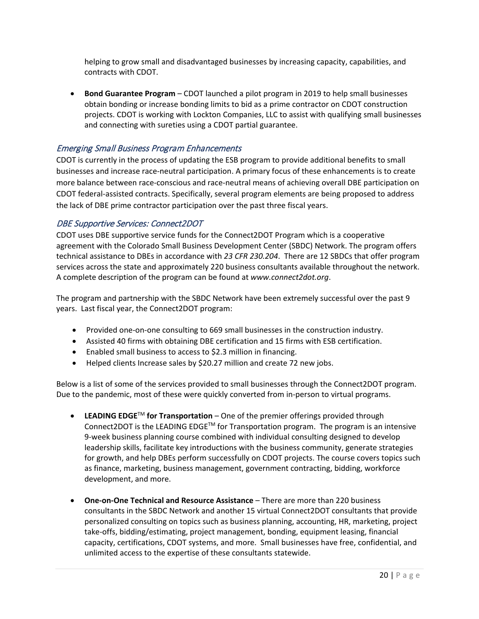helping to grow small and disadvantaged businesses by increasing capacity, capabilities, and contracts with CDOT.

• **Bond Guarantee Program** – CDOT launched a pilot program in 2019 to help small businesses obtain bonding or increase bonding limits to bid as a prime contractor on CDOT construction projects. CDOT is working with Lockton Companies, LLC to assist with qualifying small businesses and connecting with sureties using a CDOT partial guarantee.

## <span id="page-19-0"></span>Emerging Small Business Program Enhancements

CDOT is currently in the process of updating the ESB program to provide additional benefits to small businesses and increase race-neutral participation. A primary focus of these enhancements is to create more balance between race-conscious and race-neutral means of achieving overall DBE participation on CDOT federal-assisted contracts. Specifically, several program elements are being proposed to address the lack of DBE prime contractor participation over the past three fiscal years.

#### <span id="page-19-1"></span>DBE Supportive Services: Connect2DOT

CDOT uses DBE supportive service funds for the Connect2DOT Program which is a cooperative agreement with the Colorado Small Business Development Center (SBDC) Network. The program offers technical assistance to DBEs in accordance with *23 CFR 230.204*. There are 12 SBDCs that offer program services across the state and approximately 220 business consultants available throughout the network. A complete description of the program can be found at *www.connect2dot.org*.

The program and partnership with the SBDC Network have been extremely successful over the past 9 years. Last fiscal year, the Connect2DOT program:

- Provided one-on-one consulting to 669 small businesses in the construction industry.
- Assisted 40 firms with obtaining DBE certification and 15 firms with ESB certification.
- Enabled small business to access to \$2.3 million in financing.
- Helped clients Increase sales by \$20.27 million and create 72 new jobs.

Below is a list of some of the services provided to small businesses through the Connect2DOT program. Due to the pandemic, most of these were quickly converted from in-person to virtual programs.

- **LEADING EDGE<sup>TM</sup> for Transportation** One of the premier offerings provided through Connect2DOT is the LEADING EDGE<sup>TM</sup> for Transportation program. The program is an intensive 9-week business planning course combined with individual consulting designed to develop leadership skills, facilitate key introductions with the business community, generate strategies for growth, and help DBEs perform successfully on CDOT projects. The course covers topics such as finance, marketing, business management, government contracting, bidding, workforce development, and more.
- **One-on-One Technical and Resource Assistance** There are more than 220 business consultants in the SBDC Network and another 15 virtual Connect2DOT consultants that provide personalized consulting on topics such as business planning, accounting, HR, marketing, project take-offs, bidding/estimating, project management, bonding, equipment leasing, financial capacity, certifications, CDOT systems, and more. Small businesses have free, confidential, and unlimited access to the expertise of these consultants statewide.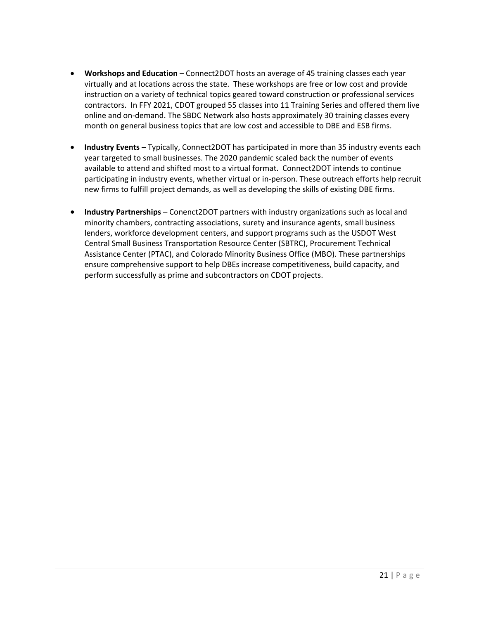- **Workshops and Education** Connect2DOT hosts an average of 45 training classes each year virtually and at locations across the state. These workshops are free or low cost and provide instruction on a variety of technical topics geared toward construction or professional services contractors. In FFY 2021, CDOT grouped 55 classes into 11 Training Series and offered them live online and on-demand. The SBDC Network also hosts approximately 30 training classes every month on general business topics that are low cost and accessible to DBE and ESB firms.
- **Industry Events** Typically, Connect2DOT has participated in more than 35 industry events each year targeted to small businesses. The 2020 pandemic scaled back the number of events available to attend and shifted most to a virtual format. Connect2DOT intends to continue participating in industry events, whether virtual or in-person. These outreach efforts help recruit new firms to fulfill project demands, as well as developing the skills of existing DBE firms.
- **Industry Partnerships** Conenct2DOT partners with industry organizations such as local and minority chambers, contracting associations, surety and insurance agents, small business lenders, workforce development centers, and support programs such as the USDOT West Central Small Business Transportation Resource Center (SBTRC), Procurement Technical Assistance Center (PTAC), and Colorado Minority Business Office (MBO). These partnerships ensure comprehensive support to help DBEs increase competitiveness, build capacity, and perform successfully as prime and subcontractors on CDOT projects.